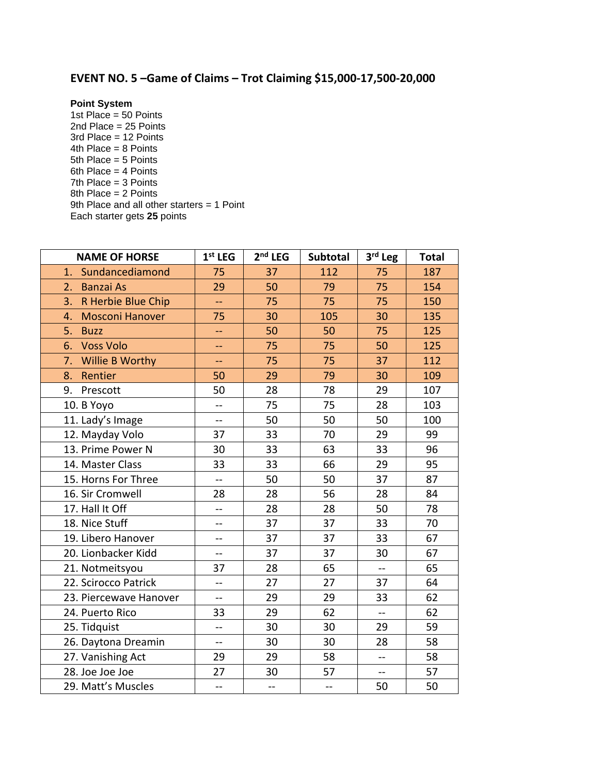## **EVENT NO. 5 –Game of Claims – Trot Claiming \$15,000-17,500-20,000**

## **Point System**

1st Place =  $50$  Points 2nd Place = 25 Points 3rd Place = 12 Points 4th Place = 8 Points 5th Place = 5 Points 6th Place = 4 Points 7th Place = 3 Points 8th Place = 2 Points 9th Place and all other starters = 1 Point Each starter gets **25** points

| <b>NAME OF HORSE</b>         | $1st$ LEG                | $2nd$ LEG                | Subtotal                 | 3rd Leg                  | <b>Total</b> |
|------------------------------|--------------------------|--------------------------|--------------------------|--------------------------|--------------|
| Sundancediamond<br>1.        | 75                       | 37                       | 112                      | 75                       | 187          |
| <b>Banzai As</b><br>2.       | 29                       | 50                       | 79                       | 75                       | 154          |
| 3.<br>R Herbie Blue Chip     | 44                       | 75                       | 75                       | 75                       | 150          |
| <b>Mosconi Hanover</b><br>4. | 75                       | 30                       | 105                      | 30                       | 135          |
| 5.<br><b>Buzz</b>            | $-$                      | 50                       | 50                       | 75                       | 125          |
| <b>Voss Volo</b><br>6.       | --                       | 75                       | 75                       | 50                       | 125          |
| Willie B Worthy<br>7.        |                          | 75                       | 75                       | 37                       | 112          |
| Rentier<br>8.                | 50                       | 29                       | 79                       | 30                       | 109          |
| Prescott<br>9.               | 50                       | 28                       | 78                       | 29                       | 107          |
| 10. B Yoyo                   | $\overline{\phantom{a}}$ | 75                       | 75                       | 28                       | 103          |
| 11. Lady's Image             | $\overline{a}$           | 50                       | 50                       | 50                       | 100          |
| 12. Mayday Volo              | 37                       | 33                       | 70                       | 29                       | 99           |
| 13. Prime Power N            | 30                       | 33                       | 63                       | 33                       | 96           |
| 14. Master Class             | 33                       | 33                       | 66                       | 29                       | 95           |
| 15. Horns For Three          | $\overline{a}$           | 50                       | 50                       | 37                       | 87           |
| 16. Sir Cromwell             | 28                       | 28                       | 56                       | 28                       | 84           |
| 17. Hall It Off              | $\overline{a}$           | 28                       | 28                       | 50                       | 78           |
| 18. Nice Stuff               | $\overline{a}$           | 37                       | 37                       | 33                       | 70           |
| 19. Libero Hanover           | --                       | 37                       | 37                       | 33                       | 67           |
| 20. Lionbacker Kidd          | $\overline{a}$           | 37                       | 37                       | 30                       | 67           |
| 21. Notmeitsyou              | 37                       | 28                       | 65                       | $\overline{\phantom{a}}$ | 65           |
| 22. Scirocco Patrick         | --                       | 27                       | 27                       | 37                       | 64           |
| 23. Piercewave Hanover       | $\overline{a}$           | 29                       | 29                       | 33                       | 62           |
| 24. Puerto Rico              | 33                       | 29                       | 62                       | $-$                      | 62           |
| 25. Tidquist                 | $\overline{a}$           | 30                       | 30                       | 29                       | 59           |
| 26. Daytona Dreamin          | $\overline{a}$           | 30                       | 30                       | 28                       | 58           |
| 27. Vanishing Act            | 29                       | 29                       | 58                       | $\overline{\phantom{a}}$ | 58           |
| 28. Joe Joe Joe              | 27                       | 30                       | 57                       | $-$                      | 57           |
| 29. Matt's Muscles           | --                       | $\overline{\phantom{a}}$ | $\overline{\phantom{a}}$ | 50                       | 50           |